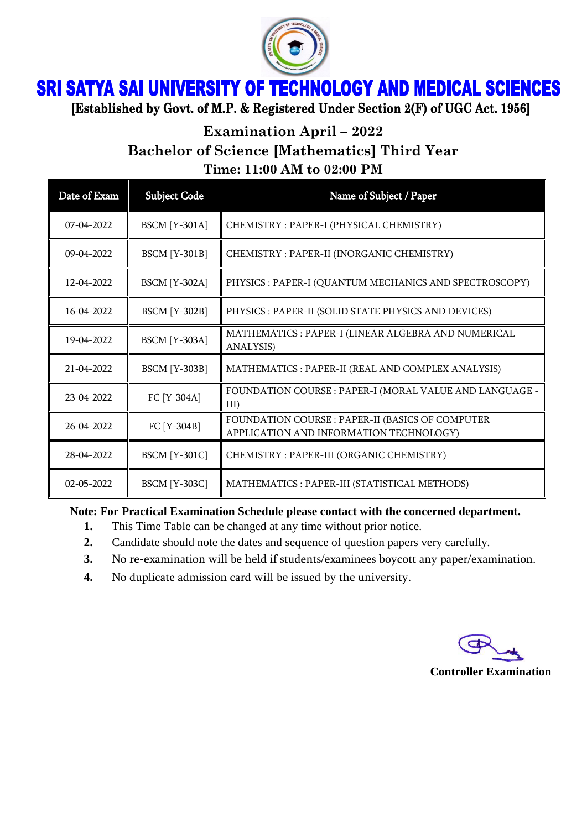

## **SRI SATYA SAI UNIVERSITY OF TECHNOLOGY AND MEDICAL SCIENCES**

[Established by Govt. of M.P. & Registered Under Section 2(F) of UGC Act. 1956]

**Examination April – 2022**

**Bachelor of Science [Mathematics] Third Year**

**Time: 11:00 AM to 02:00 PM**

| Date of Exam | <b>Subject Code</b>  | Name of Subject / Paper                                                                     |
|--------------|----------------------|---------------------------------------------------------------------------------------------|
| 07-04-2022   | <b>BSCM</b> [Y-301A] | CHEMISTRY: PAPER-I (PHYSICAL CHEMISTRY)                                                     |
| $09-04-2022$ | <b>BSCM</b> [Y-301B] | CHEMISTRY: PAPER-II (INORGANIC CHEMISTRY)                                                   |
| 12-04-2022   | <b>BSCM</b> [Y-302A] | PHYSICS : PAPER-I (QUANTUM MECHANICS AND SPECTROSCOPY)                                      |
| 16-04-2022   | <b>BSCM</b> [Y-302B] | PHYSICS : PAPER-II (SOLID STATE PHYSICS AND DEVICES)                                        |
| 19-04-2022   | <b>BSCM</b> [Y-303A] | MATHEMATICS : PAPER-I (LINEAR ALGEBRA AND NUMERICAL<br><b>ANALYSIS)</b>                     |
| 21-04-2022   | <b>BSCM</b> [Y-303B] | MATHEMATICS: PAPER-II (REAL AND COMPLEX ANALYSIS)                                           |
| 23-04-2022   | FC [Y-304A]          | FOUNDATION COURSE : PAPER-I (MORAL VALUE AND LANGUAGE -<br>$III$ )                          |
| 26-04-2022   | FC [Y-304B]          | FOUNDATION COURSE : PAPER-II (BASICS OF COMPUTER<br>APPLICATION AND INFORMATION TECHNOLOGY) |
| 28-04-2022   | <b>BSCM</b> [Y-301C] | CHEMISTRY: PAPER-III (ORGANIC CHEMISTRY)                                                    |
| 02-05-2022   | <b>BSCM</b> [Y-303C] | MATHEMATICS: PAPER-III (STATISTICAL METHODS)                                                |

## **Note: For Practical Examination Schedule please contact with the concerned department.**

- **1.** This Time Table can be changed at any time without prior notice.
- **2.** Candidate should note the dates and sequence of question papers very carefully.
- **3.** No re-examination will be held if students/examinees boycott any paper/examination.
- **4.** No duplicate admission card will be issued by the university.